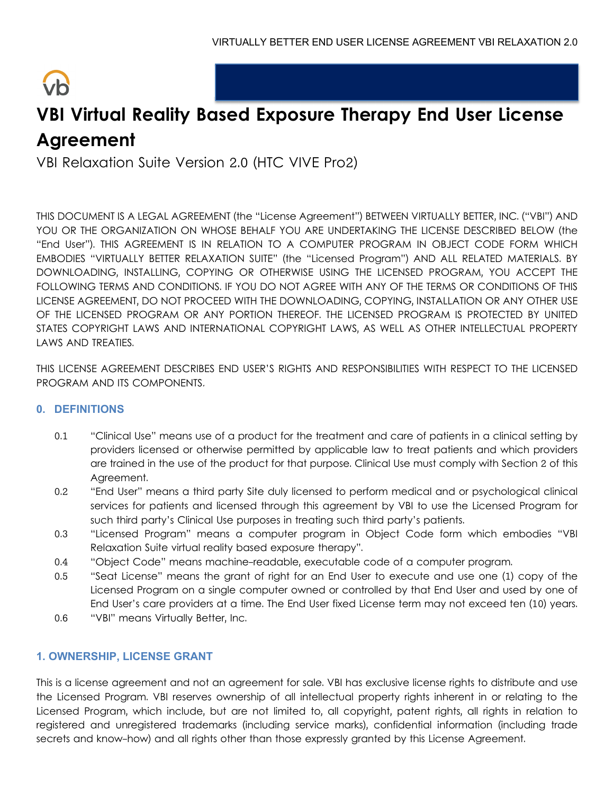# $\sqrt{h}$

# **VBI Virtual Reality Based Exposure Therapy End User License Agreement**

VBI Relaxation Suite Version 2.0 (HTC VIVE Pro2)

THIS DOCUMENT IS A LEGAL AGREEMENT (the "License Agreement") BETWEEN VIRTUALLY BETTER, INC. ("VBI") AND YOU OR THE ORGANIZATION ON WHOSE BEHALF YOU ARE UNDERTAKING THE LICENSE DESCRIBED BELOW (the "End User"). THIS AGREEMENT IS IN RELATION TO A COMPUTER PROGRAM IN OBJECT CODE FORM WHICH EMBODIES "VIRTUALLY BETTER RELAXATION SUITE" (the "Licensed Program") AND ALL RELATED MATERIALS. BY DOWNLOADING, INSTALLING, COPYING OR OTHERWISE USING THE LICENSED PROGRAM, YOU ACCEPT THE FOLLOWING TERMS AND CONDITIONS. IF YOU DO NOT AGREE WITH ANY OF THE TERMS OR CONDITIONS OF THIS LICENSE AGREEMENT, DO NOT PROCEED WITH THE DOWNLOADING, COPYING, INSTALLATION OR ANY OTHER USE OF THE LICENSED PROGRAM OR ANY PORTION THEREOF. THE LICENSED PROGRAM IS PROTECTED BY UNITED STATES COPYRIGHT LAWS AND INTERNATIONAL COPYRIGHT LAWS, AS WELL AS OTHER INTELLECTUAL PROPERTY LAWS AND TREATIES.

THIS LICENSE AGREEMENT DESCRIBES END USER'S RIGHTS AND RESPONSIBILITIES WITH RESPECT TO THE LICENSED PROGRAM AND ITS COMPONENTS.

# **0. DEFINITIONS**

- 0.1 "Clinical Use" means use of a product for the treatment and care of patients in a clinical setting by providers licensed or otherwise permitted by applicable law to treat patients and which providers are trained in the use of the product for that purpose. Clinical Use must comply with Section 2 of this Agreement.
- 0.2 "End User" means a third party Site duly licensed to perform medical and or psychological clinical services for patients and licensed through this agreement by VBI to use the Licensed Program for such third party's Clinical Use purposes in treating such third party's patients.
- 0.3 "Licensed Program" means a computer program in Object Code form which embodies "VBI Relaxation Suite virtual reality based exposure therapy".
- 0.4 "Object Code" means machine-readable, executable code of a computer program.
- 0.5 "Seat License" means the grant of right for an End User to execute and use one (1) copy of the Licensed Program on a single computer owned or controlled by that End User and used by one of End User's care providers at a time. The End User fixed License term may not exceed ten (10) years.
- 0.6 "VBI" means Virtually Better, Inc.

# **1. OWNERSHIP, LICENSE GRANT**

This is a license agreement and not an agreement for sale. VBI has exclusive license rights to distribute and use the Licensed Program. VBI reserves ownership of all intellectual property rights inherent in or relating to the Licensed Program, which include, but are not limited to, all copyright, patent rights, all rights in relation to registered and unregistered trademarks (including service marks), confidential information (including trade secrets and know-how) and all rights other than those expressly granted by this License Agreement.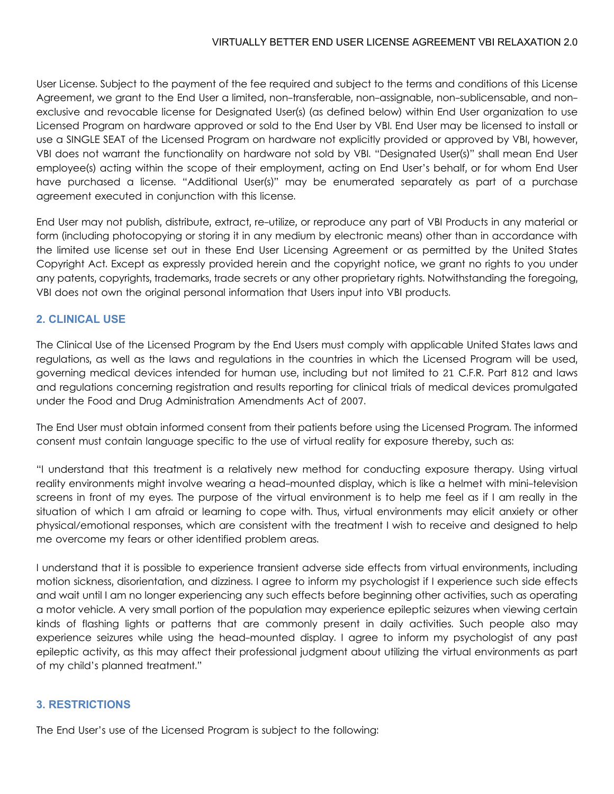User License. Subject to the payment of the fee required and subject to the terms and conditions of this License Agreement, we grant to the End User a limited, non-transferable, non-assignable, non-sublicensable, and nonexclusive and revocable license for Designated User(s) (as defined below) within End User organization to use Licensed Program on hardware approved or sold to the End User by VBI. End User may be licensed to install or use a SINGLE SEAT of the Licensed Program on hardware not explicitly provided or approved by VBI, however, VBI does not warrant the functionality on hardware not sold by VBI. "Designated User(s)" shall mean End User employee(s) acting within the scope of their employment, acting on End User's behalf, or for whom End User have purchased a license. "Additional User(s)" may be enumerated separately as part of a purchase agreement executed in conjunction with this license.

End User may not publish, distribute, extract, re-utilize, or reproduce any part of VBI Products in any material or form (including photocopying or storing it in any medium by electronic means) other than in accordance with the limited use license set out in these End User Licensing Agreement or as permitted by the United States Copyright Act. Except as expressly provided herein and the copyright notice, we grant no rights to you under any patents, copyrights, trademarks, trade secrets or any other proprietary rights. Notwithstanding the foregoing, VBI does not own the original personal information that Users input into VBI products.

#### **2. CLINICAL USE**

The Clinical Use of the Licensed Program by the End Users must comply with applicable United States laws and regulations, as well as the laws and regulations in the countries in which the Licensed Program will be used, governing medical devices intended for human use, including but not limited to 21 C.F.R. Part 812 and laws and regulations concerning registration and results reporting for clinical trials of medical devices promulgated under the Food and Drug Administration Amendments Act of 2007.

The End User must obtain informed consent from their patients before using the Licensed Program. The informed consent must contain language specific to the use of virtual reality for exposure thereby, such as:

"I understand that this treatment is a relatively new method for conducting exposure therapy. Using virtual reality environments might involve wearing a head-mounted display, which is like a helmet with mini-television screens in front of my eyes. The purpose of the virtual environment is to help me feel as if I am really in the situation of which I am afraid or learning to cope with. Thus, virtual environments may elicit anxiety or other physical/emotional responses, which are consistent with the treatment I wish to receive and designed to help me overcome my fears or other identified problem areas.

I understand that it is possible to experience transient adverse side effects from virtual environments, including motion sickness, disorientation, and dizziness. I agree to inform my psychologist if I experience such side effects and wait until I am no longer experiencing any such effects before beginning other activities, such as operating a motor vehicle. A very small portion of the population may experience epileptic seizures when viewing certain kinds of flashing lights or patterns that are commonly present in daily activities. Such people also may experience seizures while using the head-mounted display. I agree to inform my psychologist of any past epileptic activity, as this may affect their professional judgment about utilizing the virtual environments as part of my child's planned treatment."

#### **3. RESTRICTIONS**

The End User's use of the Licensed Program is subject to the following: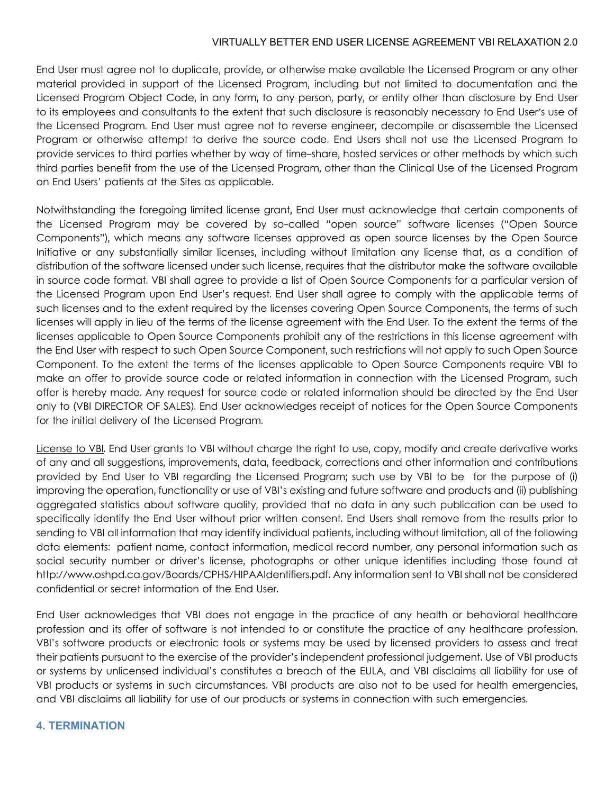End User must agree not to duplicate, provide, or otherwise make available the Licensed Program or any other material provided in support of the Licensed Program, including but not limited to documentation and the Licensed Program Object Code, in any form, to any person, party, or entity other than disclosure by End User to its employees and consultants to the extent that such disclosure is reasonably necessary to End User's use of the Licensed Program. End User must agree not to reverse engineer, decompile or disassemble the Licensed Program or otherwise attempt to derive the source code. End Users shall not use the Licensed Program to provide services to third parties whether by way of time-share, hosted services or other methods by which such third parties benefit from the use of the Licensed Program, other than the Clinical Use of the Licensed Program on End Users' patients at the Sites as applicable.

Notwithstanding the foregoing limited license grant, End User must acknowledge that certain components of the Licensed Program may be covered by so-called "open source" software licenses ("Open Source Components"), which means any software licenses approved as open source licenses by the Open Source Initiative or any substantially similar licenses, including without limitation any license that, as a condition of distribution of the software licensed under such license, requires that the distributor make the software available in source code format. VBI shall agree to provide a list of Open Source Components for a particular version of the Licensed Program upon End User's request. End User shall agree to comply with the applicable terms of such licenses and to the extent required by the licenses covering Open Source Components, the terms of such licenses will apply in lieu of the terms of the license agreement with the End User. To the extent the terms of the licenses applicable to Open Source Components prohibit any of the restrictions in this license agreement with the End User with respect to such Open Source Component, such restrictions will not apply to such Open Source Component. To the extent the terms of the licenses applicable to Open Source Components require VBI to make an offer to provide source code or related information in connection with the Licensed Program, such offer is hereby made. Any request for source code or related information should be directed by the End User only to (VBI DIRECTOR OF SALES). End User acknowledges receipt of notices for the Open Source Components for the initial delivery of the Licensed Program.

License to VBI. End User grants to VBI without charge the right to use, copy, modify and create derivative works of any and all suggestions, improvements, data, feedback, corrections and other information and contributions provided by End User to VBI regarding the Licensed Program; such use by VBI to be for the purpose of (i) improving the operation, functionality or use of VBI's existing and future software and products and (ii) publishing aggregated statistics about software quality, provided that no data in any such publication can be used to specifically identify the End User without prior written consent. End Users shall remove from the results prior to sending to VBI all information that may identify individual patients, including without limitation, all of the following data elements: patient name, contact information, medical record number, any personal information such as social security number or driver's license, photographs or other unique identifies including those found at http://www.oshpd.ca.gov/Boards/CPHS/HIPAAIdentifiers.pdf. Any information sent to VBI shall not be considered confidential or secret information of the End User.

End User acknowledges that VBI does not engage in the practice of any health or behavioral healthcare profession and its offer of software is not intended to or constitute the practice of any healthcare profession. VBI's software products or electronic tools or systems may be used by licensed providers to assess and treat their patients pursuant to the exercise of the provider's independent professional judgement. Use of VBI products or systems by unlicensed individual's constitutes a breach of the EULA, and VBI disclaims all liability for use of VBI products or systems in such circumstances. VBI products are also not to be used for health emergencies, and VBI disclaims all liability for use of our products or systems in connection with such emergencies.

# **4. TERMINATION**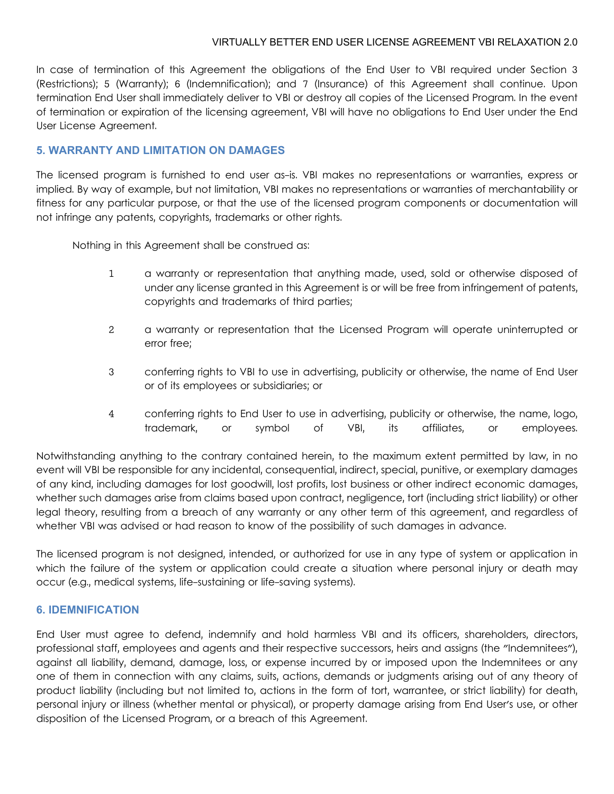In case of termination of this Agreement the obligations of the End User to VBI required under Section 3 (Restrictions); 5 (Warranty); 6 (Indemnification); and 7 (Insurance) of this Agreement shall continue. Upon termination End User shall immediately deliver to VBI or destroy all copies of the Licensed Program. In the event of termination or expiration of the licensing agreement, VBI will have no obligations to End User under the End User License Agreement.

## **5. WARRANTY AND LIMITATION ON DAMAGES**

The licensed program is furnished to end user as-is. VBI makes no representations or warranties, express or implied. By way of example, but not limitation, VBI makes no representations or warranties of merchantability or fitness for any particular purpose, or that the use of the licensed program components or documentation will not infringe any patents, copyrights, trademarks or other rights.

Nothing in this Agreement shall be construed as:

- 1 a warranty or representation that anything made, used, sold or otherwise disposed of under any license granted in this Agreement is or will be free from infringement of patents, copyrights and trademarks of third parties;
- 2 a warranty or representation that the Licensed Program will operate uninterrupted or error free;
- 3 conferring rights to VBI to use in advertising, publicity or otherwise, the name of End User or of its employees or subsidiaries; or
- 4 conferring rights to End User to use in advertising, publicity or otherwise, the name, logo, trademark, or symbol of VBI, its affiliates, or employees.

Notwithstanding anything to the contrary contained herein, to the maximum extent permitted by law, in no event will VBI be responsible for any incidental, consequential, indirect, special, punitive, or exemplary damages of any kind, including damages for lost goodwill, lost profits, lost business or other indirect economic damages, whether such damages arise from claims based upon contract, negligence, tort (including strict liability) or other legal theory, resulting from a breach of any warranty or any other term of this agreement, and regardless of whether VBI was advised or had reason to know of the possibility of such damages in advance.

The licensed program is not designed, intended, or authorized for use in any type of system or application in which the failure of the system or application could create a situation where personal injury or death may occur (e.g., medical systems, life-sustaining or life-saving systems).

#### **6. IDEMNIFICATION**

End User must agree to defend, indemnify and hold harmless VBI and its officers, shareholders, directors, professional staff, employees and agents and their respective successors, heirs and assigns (the "Indemnitees"), against all liability, demand, damage, loss, or expense incurred by or imposed upon the Indemnitees or any one of them in connection with any claims, suits, actions, demands or judgments arising out of any theory of product liability (including but not limited to, actions in the form of tort, warrantee, or strict liability) for death, personal injury or illness (whether mental or physical), or property damage arising from End User's use, or other disposition of the Licensed Program, or a breach of this Agreement.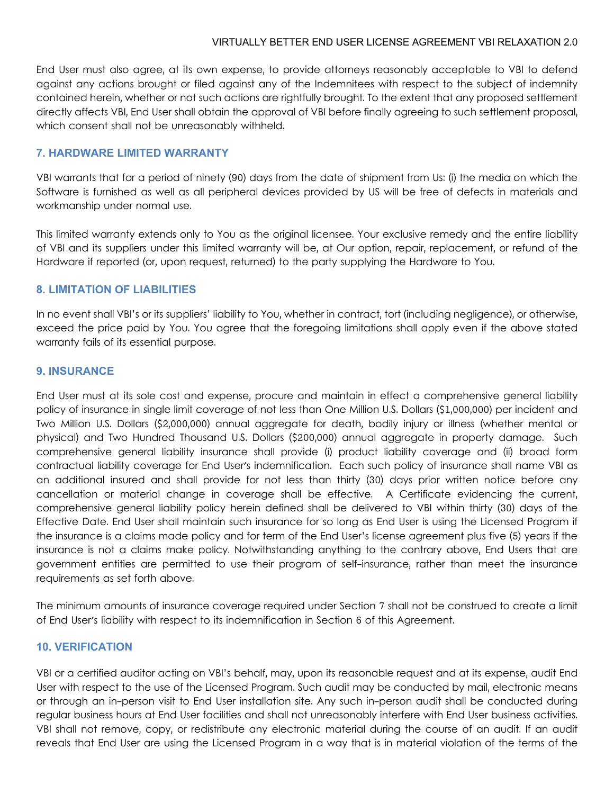End User must also agree, at its own expense, to provide attorneys reasonably acceptable to VBI to defend against any actions brought or filed against any of the Indemnitees with respect to the subject of indemnity contained herein, whether or not such actions are rightfully brought. To the extent that any proposed settlement directly affects VBI, End User shall obtain the approval of VBI before finally agreeing to such settlement proposal, which consent shall not be unreasonably withheld.

#### **7. HARDWARE LIMITED WARRANTY**

VBI warrants that for a period of ninety (90) days from the date of shipment from Us: (i) the media on which the Software is furnished as well as all peripheral devices provided by US will be free of defects in materials and workmanship under normal use.

This limited warranty extends only to You as the original licensee. Your exclusive remedy and the entire liability of VBI and its suppliers under this limited warranty will be, at Our option, repair, replacement, or refund of the Hardware if reported (or, upon request, returned) to the party supplying the Hardware to You.

# **8. LIMITATION OF LIABILITIES**

In no event shall VBI's or its suppliers' liability to You, whether in contract, tort (including negligence), or otherwise, exceed the price paid by You. You agree that the foregoing limitations shall apply even if the above stated warranty fails of its essential purpose.

#### **9. INSURANCE**

End User must at its sole cost and expense, procure and maintain in effect a comprehensive general liability policy of insurance in single limit coverage of not less than One Million U.S. Dollars (\$1,000,000) per incident and Two Million U.S. Dollars (\$2,000,000) annual aggregate for death, bodily injury or illness (whether mental or physical) and Two Hundred Thousand U.S. Dollars (\$200,000) annual aggregate in property damage. Such comprehensive general liability insurance shall provide (i) product liability coverage and (ii) broad form contractual liability coverage for End User's indemnification. Each such policy of insurance shall name VBI as an additional insured and shall provide for not less than thirty (30) days prior written notice before any cancellation or material change in coverage shall be effective. A Certificate evidencing the current, comprehensive general liability policy herein defined shall be delivered to VBI within thirty (30) days of the Effective Date. End User shall maintain such insurance for so long as End User is using the Licensed Program if the insurance is a claims made policy and for term of the End User's license agreement plus five (5) years if the insurance is not a claims make policy. Notwithstanding anything to the contrary above, End Users that are government entities are permitted to use their program of self-insurance, rather than meet the insurance requirements as set forth above.

The minimum amounts of insurance coverage required under Section 7 shall not be construed to create a limit of End User's liability with respect to its indemnification in Section 6 of this Agreement.

# **10. VERIFICATION**

VBI or a certified auditor acting on VBI's behalf, may, upon its reasonable request and at its expense, audit End User with respect to the use of the Licensed Program. Such audit may be conducted by mail, electronic means or through an in-person visit to End User installation site. Any such in-person audit shall be conducted during regular business hours at End User facilities and shall not unreasonably interfere with End User business activities. VBI shall not remove, copy, or redistribute any electronic material during the course of an audit. If an audit reveals that End User are using the Licensed Program in a way that is in material violation of the terms of the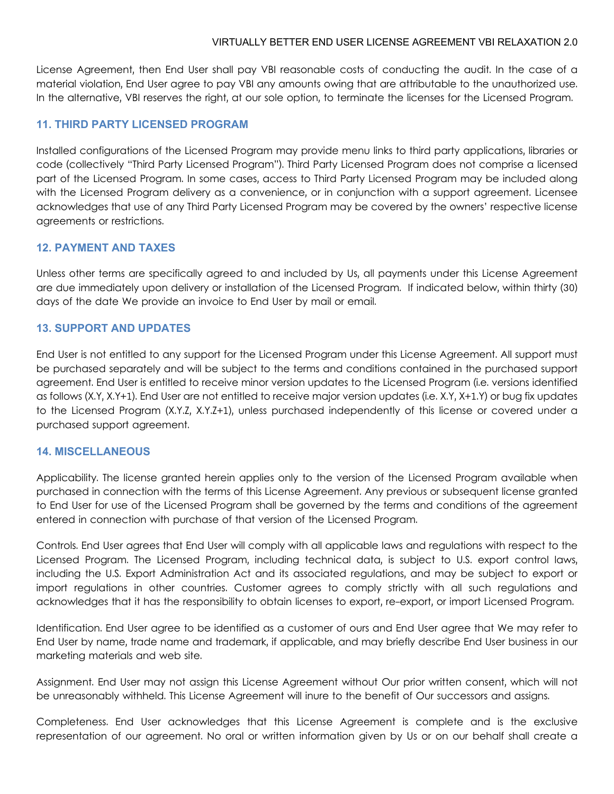License Agreement, then End User shall pay VBI reasonable costs of conducting the audit. In the case of a material violation, End User agree to pay VBI any amounts owing that are attributable to the unauthorized use. In the alternative, VBI reserves the right, at our sole option, to terminate the licenses for the Licensed Program.

# **11. THIRD PARTY LICENSED PROGRAM**

Installed configurations of the Licensed Program may provide menu links to third party applications, libraries or code (collectively "Third Party Licensed Program"). Third Party Licensed Program does not comprise a licensed part of the Licensed Program. In some cases, access to Third Party Licensed Program may be included along with the Licensed Program delivery as a convenience, or in conjunction with a support agreement. Licensee acknowledges that use of any Third Party Licensed Program may be covered by the owners' respective license agreements or restrictions.

#### **12. PAYMENT AND TAXES**

Unless other terms are specifically agreed to and included by Us, all payments under this License Agreement are due immediately upon delivery or installation of the Licensed Program. If indicated below, within thirty (30) days of the date We provide an invoice to End User by mail or email.

#### **13. SUPPORT AND UPDATES**

End User is not entitled to any support for the Licensed Program under this License Agreement. All support must be purchased separately and will be subject to the terms and conditions contained in the purchased support agreement. End User is entitled to receive minor version updates to the Licensed Program (i.e. versions identified as follows (X.Y, X.Y+1). End User are not entitled to receive major version updates (i.e. X.Y, X+1.Y) or bug fix updates to the Licensed Program (X.Y.Z, X.Y.Z+1), unless purchased independently of this license or covered under a purchased support agreement.

#### **14. MISCELLANEOUS**

Applicability. The license granted herein applies only to the version of the Licensed Program available when purchased in connection with the terms of this License Agreement. Any previous or subsequent license granted to End User for use of the Licensed Program shall be governed by the terms and conditions of the agreement entered in connection with purchase of that version of the Licensed Program.

Controls. End User agrees that End User will comply with all applicable laws and regulations with respect to the Licensed Program. The Licensed Program, including technical data, is subject to U.S. export control laws, including the U.S. Export Administration Act and its associated regulations, and may be subject to export or import regulations in other countries. Customer agrees to comply strictly with all such regulations and acknowledges that it has the responsibility to obtain licenses to export, re-export, or import Licensed Program.

Identification. End User agree to be identified as a customer of ours and End User agree that We may refer to End User by name, trade name and trademark, if applicable, and may briefly describe End User business in our marketing materials and web site.

Assignment. End User may not assign this License Agreement without Our prior written consent, which will not be unreasonably withheld. This License Agreement will inure to the benefit of Our successors and assigns.

Completeness. End User acknowledges that this License Agreement is complete and is the exclusive representation of our agreement. No oral or written information given by Us or on our behalf shall create a